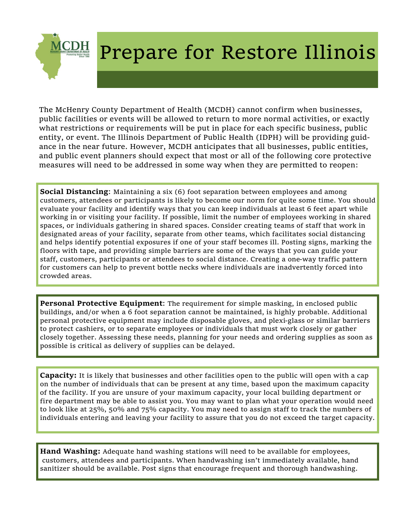

## Prepare for Restore Illinois

The McHenry County Department of Health (MCDH) cannot confirm when businesses, public facilities or events will be allowed to return to more normal activities, or exactly what restrictions or requirements will be put in place for each specific business, public entity, or event. The Illinois Department of Public Health (IDPH) will be providing guidance in the near future. However, MCDH anticipates that all businesses, public entities, and public event planners should expect that most or all of the following core protective measures will need to be addressed in some way when they are permitted to reopen:

**Social Distancing:** Maintaining a six (6) foot separation between employees and among customers, attendees or participants is likely to become our norm for quite some time. You should evaluate your facility and identify ways that you can keep individuals at least 6 feet apart while working in or visiting your facility. If possible, limit the number of employees working in shared spaces, or individuals gathering in shared spaces. Consider creating teams of staff that work in designated areas of your facility, separate from other teams, which facilitates social distancing and helps identify potential exposures if one of your staff becomes ill. Posting signs, marking the floors with tape, and providing simple barriers are some of the ways that you can guide your staff, customers, participants or attendees to social distance. Creating a one-way traffic pattern for customers can help to prevent bottle necks where individuals are inadvertently forced into crowded areas.

**Personal Protective Equipment**: The requirement for simple masking, in enclosed public buildings, and/or when a 6 foot separation cannot be maintained, is highly probable. Additional personal protective equipment may include disposable gloves, and plexi-glass or similar barriers to protect cashiers, or to separate employees or individuals that must work closely or gather closely together. Assessing these needs, planning for your needs and ordering supplies as soon as possible is critical as delivery of supplies can be delayed.

**Capacity:** It is likely that businesses and other facilities open to the public will open with a cap on the number of individuals that can be present at any time, based upon the maximum capacity of the facility. If you are unsure of your maximum capacity, your local building department or fire department may be able to assist you. You may want to plan what your operation would need to look like at 25%, 50% and 75% capacity. You may need to assign staff to track the numbers of individuals entering and leaving your facility to assure that you do not exceed the target capacity.

**Hand Washing:** Adequate hand washing stations will need to be available for employees, customers, attendees and participants. When handwashing isn't immediately available, hand sanitizer should be available. Post signs that encourage frequent and thorough handwashing.